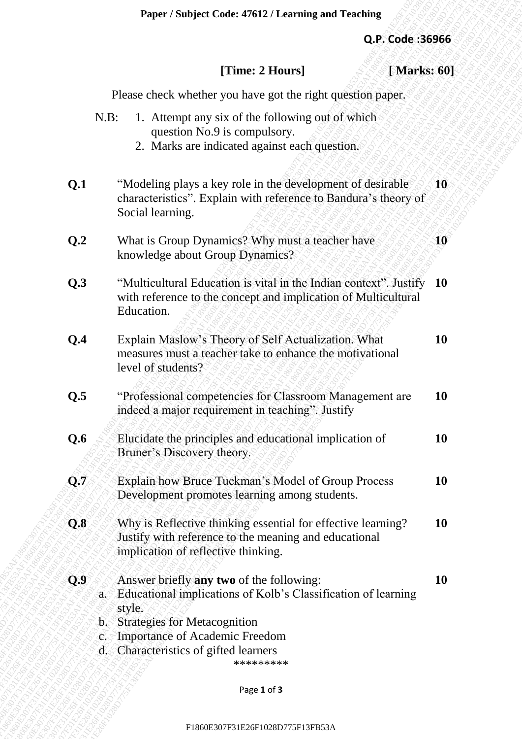# **[Time: 2 Hours] [ Marks: 60]**

|                |                                | Paper / Subject Code: 47612 / Learning and Teaching                                                                                                                                                                                            |                  |           |
|----------------|--------------------------------|------------------------------------------------------------------------------------------------------------------------------------------------------------------------------------------------------------------------------------------------|------------------|-----------|
|                |                                |                                                                                                                                                                                                                                                | Q.P. Code: 36966 |           |
|                |                                | [Time: 2 Hours]                                                                                                                                                                                                                                | [Marks: 60]      |           |
|                |                                | Please check whether you have got the right question paper.                                                                                                                                                                                    |                  |           |
|                | $N.B$ :                        | 1. Attempt any six of the following out of which<br>question No.9 is compulsory.<br>2. Marks are indicated against each question.                                                                                                              |                  |           |
| Q.1            |                                | "Modeling plays a key role in the development of desirable<br>characteristics". Explain with reference to Bandura's theory of<br>Social learning.                                                                                              |                  | 10        |
| Q <sub>0</sub> |                                | What is Group Dynamics? Why must a teacher have<br>knowledge about Group Dynamics?                                                                                                                                                             |                  | 10        |
| Q.3            |                                | "Multicultural Education is vital in the Indian context". Justify<br>with reference to the concept and implication of Multicultural<br>Education.                                                                                              |                  | <b>10</b> |
| Q.4            |                                | Explain Maslow's Theory of Self Actualization. What<br>measures must a teacher take to enhance the motivational<br>level of students?                                                                                                          |                  | 10        |
| Q.5            |                                | "Professional competencies for Classroom Management are<br>indeed a major requirement in teaching". Justify                                                                                                                                    |                  | <b>10</b> |
| Q.6            |                                | Elucidate the principles and educational implication of<br>Bruner's Discovery theory.                                                                                                                                                          |                  | 10        |
| $\bf Q.7$      |                                | Explain how Bruce Tuckman's Model of Group Process<br>Development promotes learning among students.                                                                                                                                            |                  | <b>10</b> |
| Q.8            |                                | Why is Reflective thinking essential for effective learning?<br>Justify with reference to the meaning and educational<br>implication of reflective thinking.                                                                                   |                  | <b>10</b> |
| Q.9            | style.<br>$\hat{\mathbf{c}}$ . | Answer briefly any two of the following:<br>a. Educational implications of Kolb's Classification of learning<br>b. Strategies for Metacognition<br><b>Importance of Academic Freedom</b><br>d. Characteristics of gifted learners<br>********* |                  | 10        |
|                |                                | Page 1 of 3                                                                                                                                                                                                                                    |                  |           |
|                |                                | F1860E307F31E26F1028D775F13FB53A                                                                                                                                                                                                               |                  |           |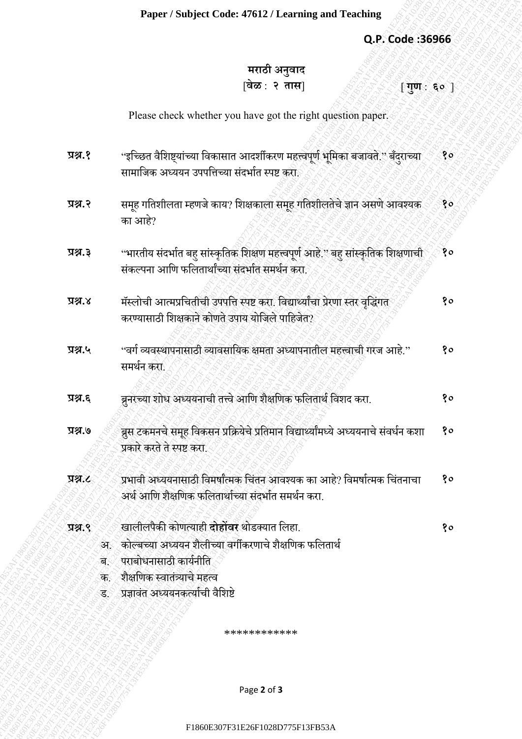#### **Paper / Subject Code: 47612 / Learning and Teaching**

### **Q.P. Code :36966**

## **मराठी अनुवाद** [**वेळ** : **२ तास**] [ **गुण** : **६०** ]

|                 | Paper / Subject Code: 47612 / Learning and Teaching                                                                                      |    |
|-----------------|------------------------------------------------------------------------------------------------------------------------------------------|----|
|                 | Q.P. Code: 36966                                                                                                                         |    |
|                 | मराठी अनुवाद                                                                                                                             |    |
|                 | वेळ : २ तास <br>$\lceil \mathbf{u} \rceil$ ं ह $\circ$ ]                                                                                 |    |
|                 | Please check whether you have got the right question paper.                                                                              |    |
| प्रश्न.१        | ''इच्छित वैशिष्ट्यांच्या विकासात आदर्शीकरण महत्त्वपूर्ण भूमिका बजावते.'' बँदुराच्या                                                      | १० |
|                 | सामाजिक अध्ययन उपपत्तिच्या संदर्भात स्पष्ट करा.                                                                                          |    |
| प्रश्न.२        | समूह गतिशीलता म्हणजे काय? शिक्षकाला समूह गतिशीलतेचे ज्ञान असणे आवश्यक<br>का आहे?                                                         | 80 |
| प्रश्न.३        | ''भारतीय संदर्भात बहु सांस्कृतिक शिक्षण महत्त्वपूर्ण आहे.'' बहु सांस्कृतिक शिक्षणाची<br>संकल्पना आणि फलितार्थांच्या संदर्भात समर्थन करा. | १० |
| x, y, z         | मॅस्लोची आत्मप्रचितीची उपपत्ति स्पष्ट करा. विद्यार्थ्यांचा प्रेरणा स्तर वृद्धिंगत<br>करण्यासाठी शिक्षकाने कोणते उपाय योजिले पाहिजेत?     | १० |
| प्रश्न.५        | ''वर्ग व्यवस्थापनासाठी व्यावसायिक क्षमता अध्यापनातील महत्त्वाची गरज आहे.''<br>समर्थन करा.                                                | १० |
| प्रश्न.६        | ब्रुनरच्या शोध अध्ययनाची तत्त्वे आणि शैक्षणिक फलितार्थ विशद करा.                                                                         | १० |
| 9.82            | ब्रुस टकमनचे समूह विकसन प्रक्रियेचे प्रतिमान विद्यार्थ्यांमध्ये अध्ययनाचे संवर्धन कशा<br>प्रकारे करते ते स्पष्ट करा.                     | १० |
| <b>प्रश्न.८</b> | प्रभावी अध्ययनासाठी विमर्षांत्मक चिंतन आवश्यक का आहे? विमर्षात्मक चिंतनाचा<br>अर्थ आणि शैक्षणिक फलितार्थाच्या संदर्भात समर्थन करा.       | १० |
| 9.8R            | खालीलपैकी कोणत्याही दोहोंवर थोडक्यात लिहा.                                                                                               | १० |
|                 | अ. कोल्बच्या अध्ययन शैलीच्या वर्गीकरणाचे शैक्षणिक फलितार्थ                                                                               |    |
| ब∴              | पराबोधनासाठी कार्यनीति                                                                                                                   |    |
| क.<br>ड.        | शैक्षणिक स्वातंत्र्याचे महत्व<br>प्रज्ञावंत अध्ययनकर्त्याची वैशिष्टे                                                                     |    |
|                 | ************                                                                                                                             |    |
|                 |                                                                                                                                          |    |
|                 | Page 2 of 3                                                                                                                              |    |
|                 | F1860E307F31E26F1028D775F13FB53A                                                                                                         |    |